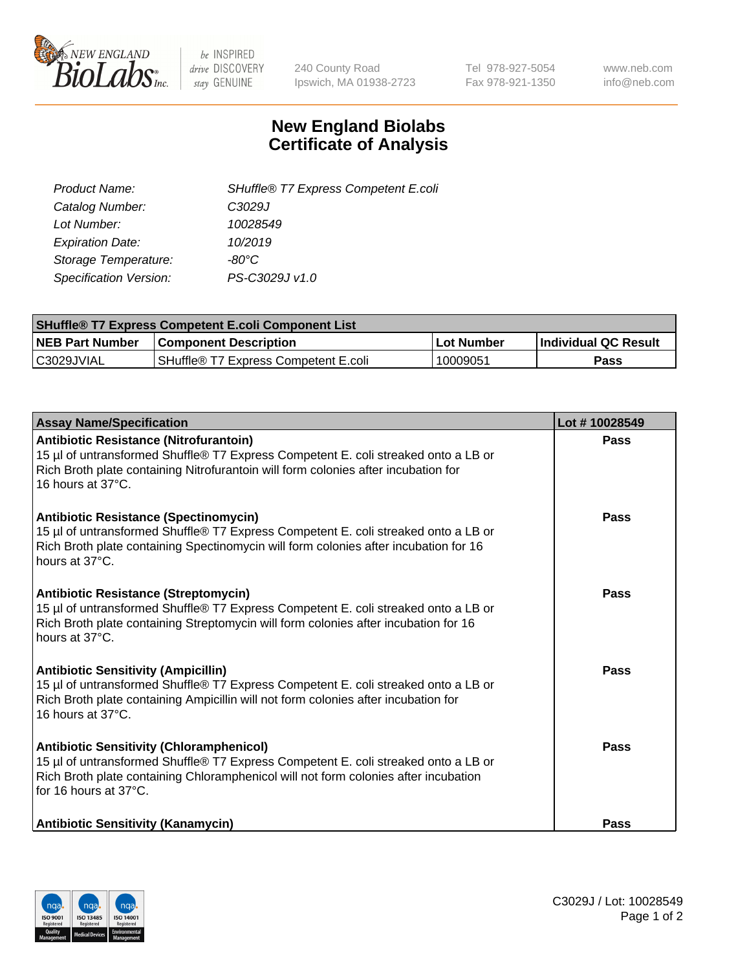

 $be$  INSPIRED drive DISCOVERY stay GENUINE

240 County Road Ipswich, MA 01938-2723 Tel 978-927-5054 Fax 978-921-1350 www.neb.com info@neb.com

## **New England Biolabs Certificate of Analysis**

| SHuffle® T7 Express Competent E.coli |
|--------------------------------------|
| C <sub>3029</sub> J                  |
| 10028549                             |
| 10/2019                              |
| -80°C.                               |
| PS-C3029J v1.0                       |
|                                      |

| <b>SHuffle<sup>®</sup> T7 Express Competent E.coli Component List</b> |                                      |            |                             |  |
|-----------------------------------------------------------------------|--------------------------------------|------------|-----------------------------|--|
| <b>NEB Part Number</b>                                                | <b>Component Description</b>         | Lot Number | <b>Individual QC Result</b> |  |
| C3029JVIAL                                                            | SHuffle® T7 Express Competent E.coli | 10009051   | Pass                        |  |

| <b>Assay Name/Specification</b>                                                                                                                                                                                                                       | Lot #10028549 |
|-------------------------------------------------------------------------------------------------------------------------------------------------------------------------------------------------------------------------------------------------------|---------------|
| <b>Antibiotic Resistance (Nitrofurantoin)</b><br>15 µl of untransformed Shuffle® T7 Express Competent E. coli streaked onto a LB or<br>Rich Broth plate containing Nitrofurantoin will form colonies after incubation for<br>16 hours at 37°C.        | <b>Pass</b>   |
| <b>Antibiotic Resistance (Spectinomycin)</b><br>15 µl of untransformed Shuffle® T7 Express Competent E. coli streaked onto a LB or<br>Rich Broth plate containing Spectinomycin will form colonies after incubation for 16<br>hours at 37°C.          | Pass          |
| <b>Antibiotic Resistance (Streptomycin)</b><br>15 µl of untransformed Shuffle® T7 Express Competent E. coli streaked onto a LB or<br>Rich Broth plate containing Streptomycin will form colonies after incubation for 16<br>hours at 37°C.            | <b>Pass</b>   |
| <b>Antibiotic Sensitivity (Ampicillin)</b><br>15 µl of untransformed Shuffle® T7 Express Competent E. coli streaked onto a LB or<br>Rich Broth plate containing Ampicillin will not form colonies after incubation for<br>16 hours at 37°C.           | Pass          |
| <b>Antibiotic Sensitivity (Chloramphenicol)</b><br>15 µl of untransformed Shuffle® T7 Express Competent E. coli streaked onto a LB or<br>Rich Broth plate containing Chloramphenicol will not form colonies after incubation<br>for 16 hours at 37°C. | Pass          |
| <b>Antibiotic Sensitivity (Kanamycin)</b>                                                                                                                                                                                                             | <b>Pass</b>   |